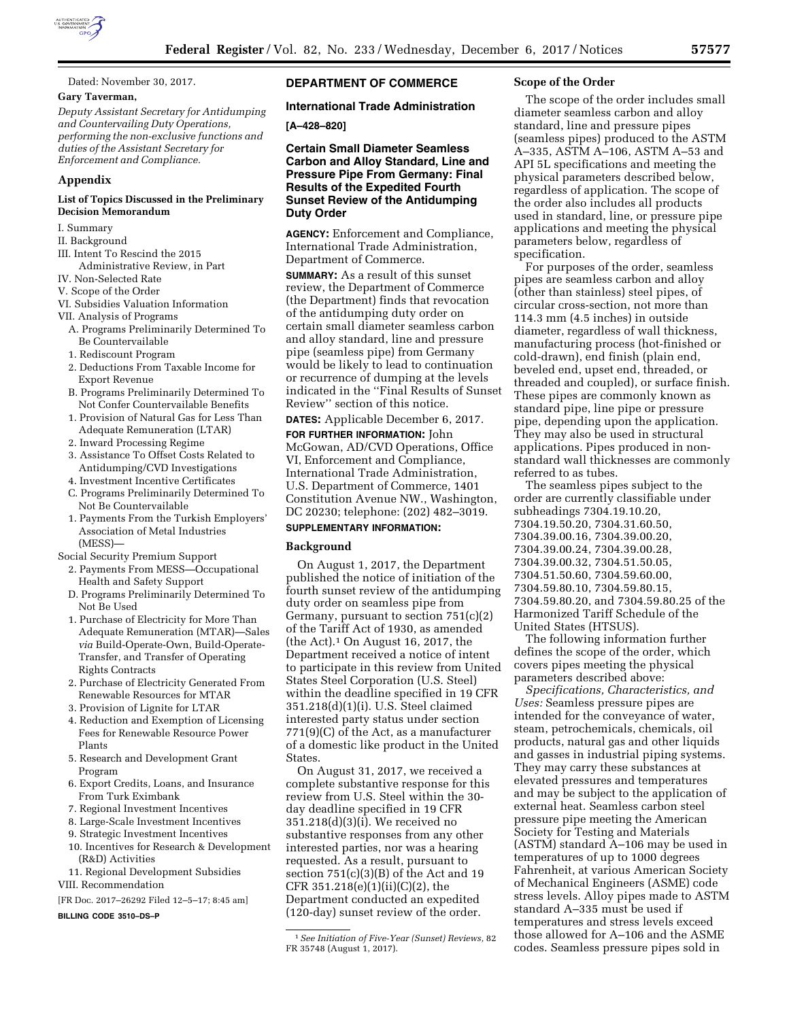

Dated: November 30, 2017.

### **Gary Taverman,**

*Deputy Assistant Secretary for Antidumping and Countervailing Duty Operations, performing the non-exclusive functions and duties of the Assistant Secretary for Enforcement and Compliance.* 

#### **Appendix**

#### **List of Topics Discussed in the Preliminary Decision Memorandum**

- I. Summary
- II. Background
- III. Intent To Rescind the 2015 Administrative Review, in Part
- IV. Non-Selected Rate
- V. Scope of the Order
- VI. Subsidies Valuation Information
- VII. Analysis of Programs
- A. Programs Preliminarily Determined To Be Countervailable
- 1. Rediscount Program
- 2. Deductions From Taxable Income for Export Revenue
- B. Programs Preliminarily Determined To Not Confer Countervailable Benefits
- 1. Provision of Natural Gas for Less Than Adequate Remuneration (LTAR)
- 2. Inward Processing Regime
- 3. Assistance To Offset Costs Related to Antidumping/CVD Investigations
- 4. Investment Incentive Certificates
- C. Programs Preliminarily Determined To Not Be Countervailable
- 1. Payments From the Turkish Employers' Association of Metal Industries (MESS)—
- Social Security Premium Support
	- 2. Payments From MESS—Occupational Health and Safety Support
	- D. Programs Preliminarily Determined To Not Be Used
	- 1. Purchase of Electricity for More Than Adequate Remuneration (MTAR)—Sales *via* Build-Operate-Own, Build-Operate-Transfer, and Transfer of Operating Rights Contracts
	- 2. Purchase of Electricity Generated From Renewable Resources for MTAR
	- 3. Provision of Lignite for LTAR
	- 4. Reduction and Exemption of Licensing Fees for Renewable Resource Power Plants
	- 5. Research and Development Grant Program
	- 6. Export Credits, Loans, and Insurance From Turk Eximbank
	- 7. Regional Investment Incentives
	- 8. Large-Scale Investment Incentives
	- 9. Strategic Investment Incentives 10. Incentives for Research & Development
	- (R&D) Activities 11. Regional Development Subsidies
- VIII. Recommendation
- [FR Doc. 2017–26292 Filed 12–5–17; 8:45 am]

**BILLING CODE 3510–DS–P** 

# **DEPARTMENT OF COMMERCE**

## **International Trade Administration**

**[A–428–820]** 

**Certain Small Diameter Seamless Carbon and Alloy Standard, Line and Pressure Pipe From Germany: Final Results of the Expedited Fourth Sunset Review of the Antidumping Duty Order** 

**AGENCY:** Enforcement and Compliance, International Trade Administration, Department of Commerce.

**SUMMARY:** As a result of this sunset review, the Department of Commerce (the Department) finds that revocation of the antidumping duty order on certain small diameter seamless carbon and alloy standard, line and pressure pipe (seamless pipe) from Germany would be likely to lead to continuation or recurrence of dumping at the levels indicated in the ''Final Results of Sunset Review'' section of this notice.

**DATES:** Applicable December 6, 2017.

**FOR FURTHER INFORMATION:** John McGowan, AD/CVD Operations, Office VI, Enforcement and Compliance, International Trade Administration, U.S. Department of Commerce, 1401 Constitution Avenue NW., Washington, DC 20230; telephone: (202) 482–3019.

#### **SUPPLEMENTARY INFORMATION:**

#### **Background**

On August 1, 2017, the Department published the notice of initiation of the fourth sunset review of the antidumping duty order on seamless pipe from Germany, pursuant to section 751(c)(2) of the Tariff Act of 1930, as amended (the Act).1 On August 16, 2017, the Department received a notice of intent to participate in this review from United States Steel Corporation (U.S. Steel) within the deadline specified in 19 CFR 351.218(d)(1)(i). U.S. Steel claimed interested party status under section 771(9)(C) of the Act, as a manufacturer of a domestic like product in the United States.

On August 31, 2017, we received a complete substantive response for this review from U.S. Steel within the 30 day deadline specified in 19 CFR 351.218(d)(3)(i). We received no substantive responses from any other interested parties, nor was a hearing requested. As a result, pursuant to section 751(c)(3)(B) of the Act and 19 CFR 351.218(e)(1)(ii)(C)(2), the Department conducted an expedited (120-day) sunset review of the order.

#### **Scope of the Order**

The scope of the order includes small diameter seamless carbon and alloy standard, line and pressure pipes (seamless pipes) produced to the ASTM A–335, ASTM A–106, ASTM A–53 and API 5L specifications and meeting the physical parameters described below, regardless of application. The scope of the order also includes all products used in standard, line, or pressure pipe applications and meeting the physical parameters below, regardless of specification.

For purposes of the order, seamless pipes are seamless carbon and alloy (other than stainless) steel pipes, of circular cross-section, not more than 114.3 mm (4.5 inches) in outside diameter, regardless of wall thickness, manufacturing process (hot-finished or cold-drawn), end finish (plain end, beveled end, upset end, threaded, or threaded and coupled), or surface finish. These pipes are commonly known as standard pipe, line pipe or pressure pipe, depending upon the application. They may also be used in structural applications. Pipes produced in nonstandard wall thicknesses are commonly referred to as tubes.

The seamless pipes subject to the order are currently classifiable under subheadings 7304.19.10.20, 7304.19.50.20, 7304.31.60.50, 7304.39.00.16, 7304.39.00.20, 7304.39.00.24, 7304.39.00.28, 7304.39.00.32, 7304.51.50.05, 7304.51.50.60, 7304.59.60.00, 7304.59.80.10, 7304.59.80.15, 7304.59.80.20, and 7304.59.80.25 of the Harmonized Tariff Schedule of the United States (HTSUS).

The following information further defines the scope of the order, which covers pipes meeting the physical parameters described above:

*Specifications, Characteristics, and Uses:* Seamless pressure pipes are intended for the conveyance of water, steam, petrochemicals, chemicals, oil products, natural gas and other liquids and gasses in industrial piping systems. They may carry these substances at elevated pressures and temperatures and may be subject to the application of external heat. Seamless carbon steel pressure pipe meeting the American Society for Testing and Materials (ASTM) standard A–106 may be used in temperatures of up to 1000 degrees Fahrenheit, at various American Society of Mechanical Engineers (ASME) code stress levels. Alloy pipes made to ASTM standard A–335 must be used if temperatures and stress levels exceed those allowed for A–106 and the ASME codes. Seamless pressure pipes sold in

<sup>1</sup>*See Initiation of Five-Year (Sunset) Reviews,* 82 FR 35748 (August 1, 2017).